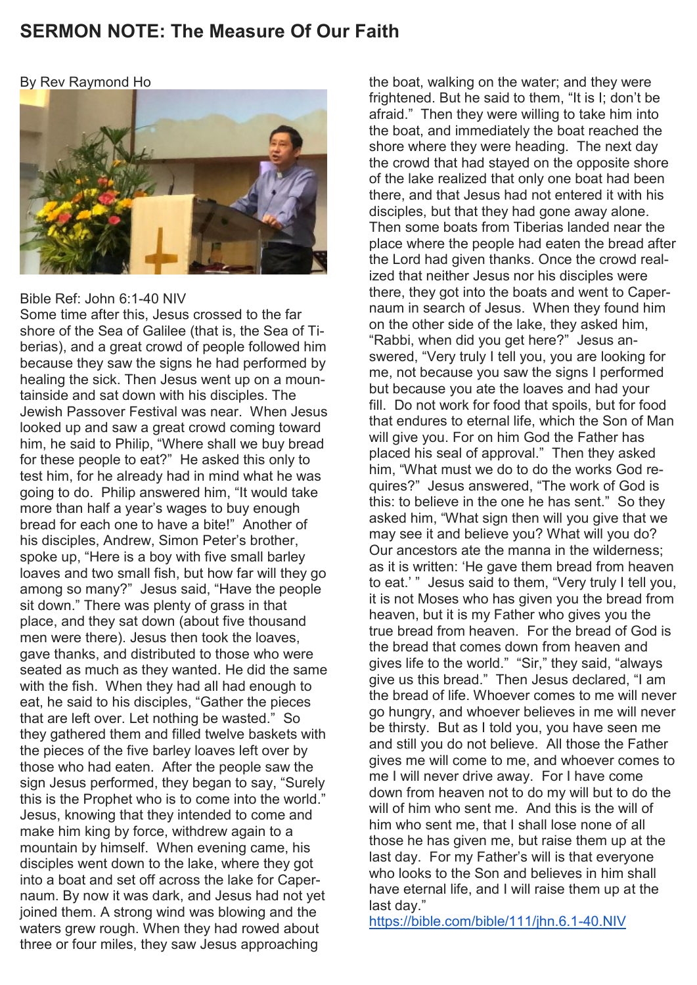## **SERMON NOTE: The Measure Of Our Faith**

By Rev Raymond Ho



### Bible Ref: John 6:1-40 NIV

Some time after this, Jesus crossed to the far shore of the Sea of Galilee (that is, the Sea of Tiberias), and a great crowd of people followed him because they saw the signs he had performed by healing the sick. Then Jesus went up on a mountainside and sat down with his disciples. The Jewish Passover Festival was near. When Jesus looked up and saw a great crowd coming toward him, he said to Philip, "Where shall we buy bread for these people to eat?" He asked this only to test him, for he already had in mind what he was going to do. Philip answered him, "It would take more than half a year's wages to buy enough bread for each one to have a bite!" Another of his disciples, Andrew, Simon Peter's brother, spoke up, "Here is a boy with five small barley loaves and two small fish, but how far will they go among so many?" Jesus said, "Have the people sit down." There was plenty of grass in that place, and they sat down (about five thousand men were there). Jesus then took the loaves, gave thanks, and distributed to those who were seated as much as they wanted. He did the same with the fish. When they had all had enough to eat, he said to his disciples, "Gather the pieces that are left over. Let nothing be wasted." So they gathered them and filled twelve baskets with the pieces of the five barley loaves left over by those who had eaten. After the people saw the sign Jesus performed, they began to say, "Surely this is the Prophet who is to come into the world." Jesus, knowing that they intended to come and make him king by force, withdrew again to a mountain by himself. When evening came, his disciples went down to the lake, where they got into a boat and set off across the lake for Capernaum. By now it was dark, and Jesus had not yet joined them. A strong wind was blowing and the waters grew rough. When they had rowed about three or four miles, they saw Jesus approaching

the boat, walking on the water; and they were frightened. But he said to them, "It is I; don't be afraid." Then they were willing to take him into the boat, and immediately the boat reached the shore where they were heading. The next day the crowd that had stayed on the opposite shore of the lake realized that only one boat had been there, and that Jesus had not entered it with his disciples, but that they had gone away alone. Then some boats from Tiberias landed near the place where the people had eaten the bread after the Lord had given thanks. Once the crowd realized that neither Jesus nor his disciples were there, they got into the boats and went to Capernaum in search of Jesus. When they found him on the other side of the lake, they asked him, "Rabbi, when did you get here?" Jesus answered, "Very truly I tell you, you are looking for me, not because you saw the signs I performed but because you ate the loaves and had your fill. Do not work for food that spoils, but for food that endures to eternal life, which the Son of Man will give you. For on him God the Father has placed his seal of approval." Then they asked him, "What must we do to do the works God requires?" Jesus answered, "The work of God is this: to believe in the one he has sent." So they asked him, "What sign then will you give that we may see it and believe you? What will you do? Our ancestors ate the manna in the wilderness; as it is written: 'He gave them bread from heaven to eat.' " Jesus said to them, "Very truly I tell you, it is not Moses who has given you the bread from heaven, but it is my Father who gives you the true bread from heaven. For the bread of God is the bread that comes down from heaven and gives life to the world." "Sir," they said, "always give us this bread." Then Jesus declared, "I am the bread of life. Whoever comes to me will never go hungry, and whoever believes in me will never be thirsty. But as I told you, you have seen me and still you do not believe. All those the Father gives me will come to me, and whoever comes to me I will never drive away. For I have come down from heaven not to do my will but to do the will of him who sent me. And this is the will of him who sent me, that I shall lose none of all those he has given me, but raise them up at the last day. For my Father's will is that everyone who looks to the Son and believes in him shall have eternal life, and I will raise them up at the last day."

<https://bible.com/bible/111/jhn.6.1-40.NIV>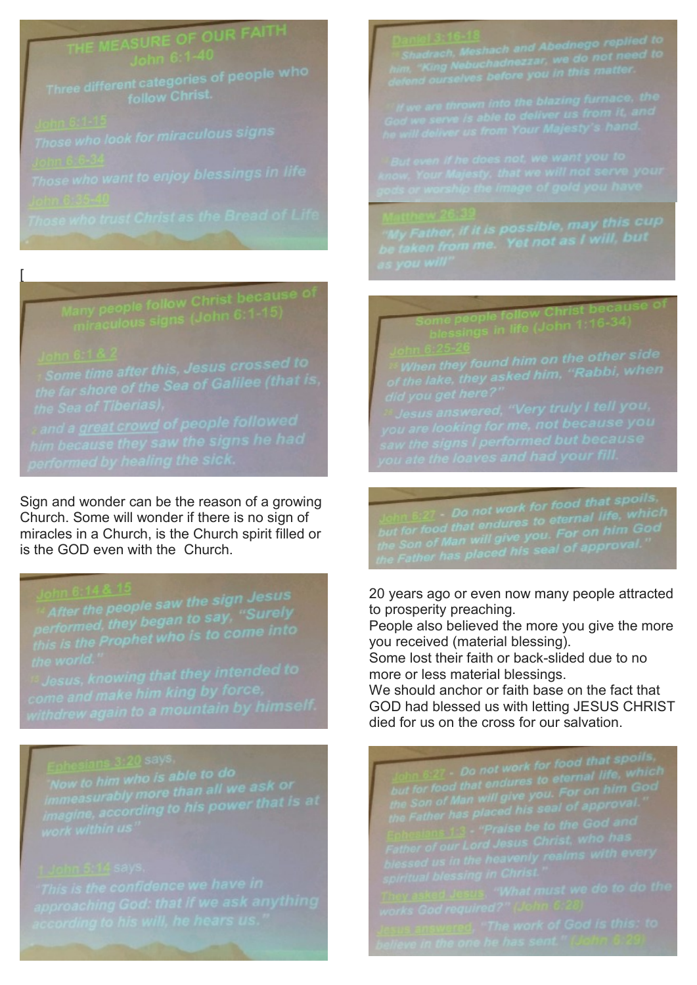## OUR FAITH

# any people follow Christ because of<br>miraculous signs (John 6:1-15)

Sign and wonder can be the reason of a growing Church. Some will wonder if there is no sign of miracles in a Church, is the Church spirit filled or is the GOD even with the Church.

After the people saw the sign Jesus<br>performed, they began to say, "Surely<br>this is the Prophet who is to come into

<sup>rs</sup> Jesus, knowi<mark>ng that they intended to</mark><br>come and make him king by force,<br>vithdrew again to a mountain by hi<mark>mself.</mark>

Now to him who is able to do<br>immeasurably more than all we ask or<br>imagine, according to his power that is at<br>work within us"

## eeople follow Christ because o<br>sings in life (John 1:16-34)

**Canadical Secret Convertsion Convertision**<br>*Saw the signs I performed but because you*<br>*Saw the signs I performed but because*<br>*You ate the loaves and had your fill.* 

John 6:27 - Do not work for food that spoils,<br>but for food that endures to eternal life, which<br>the Son of Man will give you. For on him God<br>the Father has placed his seal of approval."

20 years ago or even now many people attracted to prosperity preaching.

People also believed the more you give the more you received (material blessing).

Some lost their faith or back-slided due to no more or less material blessings.

We should anchor or faith base on the fact that GOD had blessed us with letting JESUS CHRIST died for us on the cross for our salvation.

 $\frac{\sinh 6:27}{\sinh 6:27}$  Do not work for food that spoils,<br>but for food that endures to eternal life, which<br>the Son of Man will give you. For on him God<br>the Father has placed his seal of approval."<br>Enhesians 1:3 - "Praise b